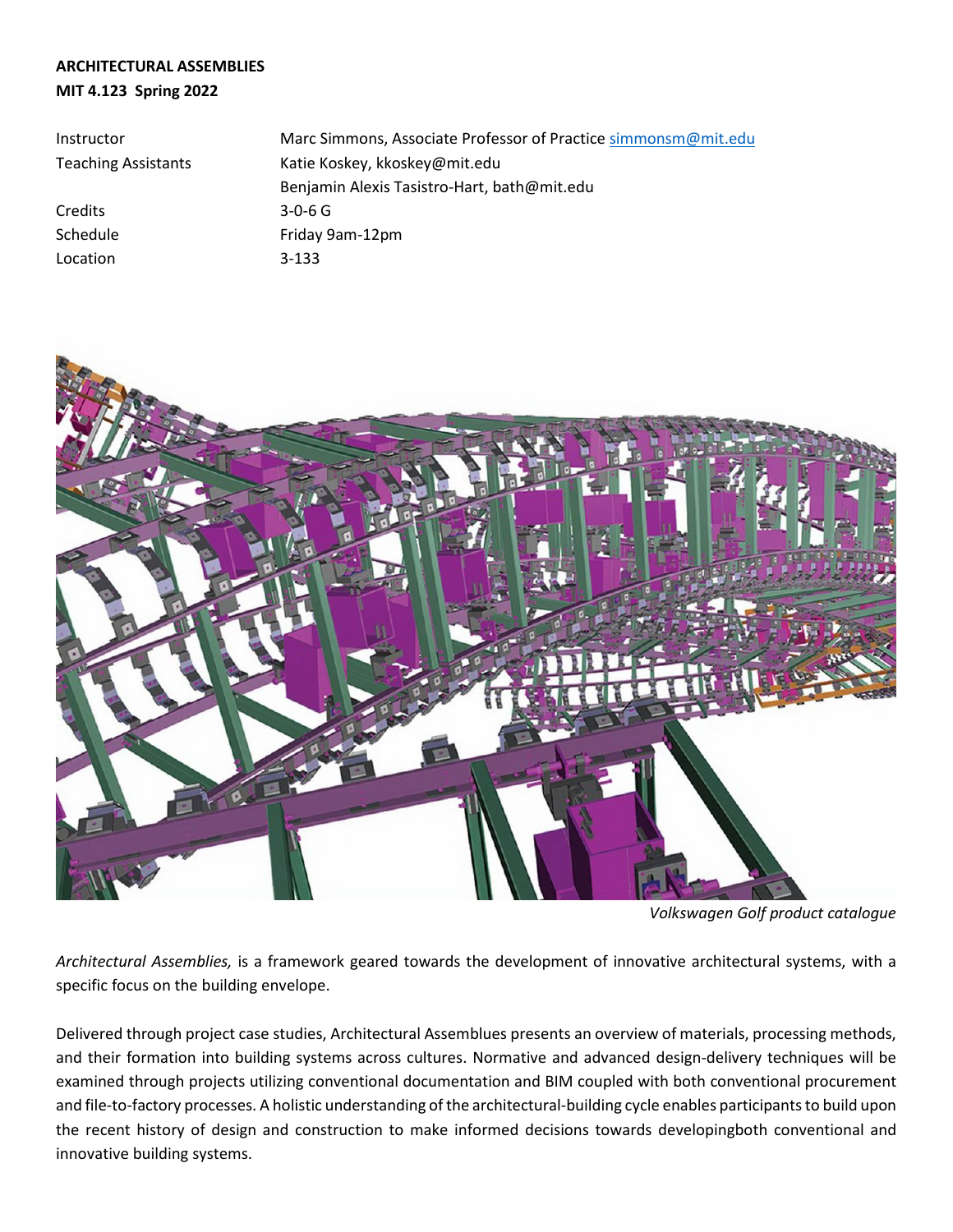# **ARCHITECTURAL ASSEMBLIES MIT 4.123 Spring 2022**

| Instructor                 | Marc Simmons, Associate Professor of Practice simmonsm@mit.edu |  |  |
|----------------------------|----------------------------------------------------------------|--|--|
| <b>Teaching Assistants</b> | Katie Koskey, kkoskey@mit.edu                                  |  |  |
|                            | Benjamin Alexis Tasistro-Hart, bath@mit.edu                    |  |  |
| Credits                    | $3 - 0 - 6$ G                                                  |  |  |
| Schedule                   | Friday 9am-12pm                                                |  |  |
| Location                   | $3 - 133$                                                      |  |  |



*Volkswagen Golf product catalogue*

*Architectural Assemblies,* is a framework geared towards the development of innovative architectural systems, with a specific focus on the building envelope.

Delivered through project case studies, Architectural Assemblues presents an overview of materials, processing methods, and their formation into building systems across cultures. Normative and advanced design-delivery techniques will be examined through projects utilizing conventional documentation and BIM coupled with both conventional procurement and file-to-factory processes. A holistic understanding of the architectural-building cycle enables participants to build upon the recent history of design and construction to make informed decisions towards developingboth conventional and innovative building systems.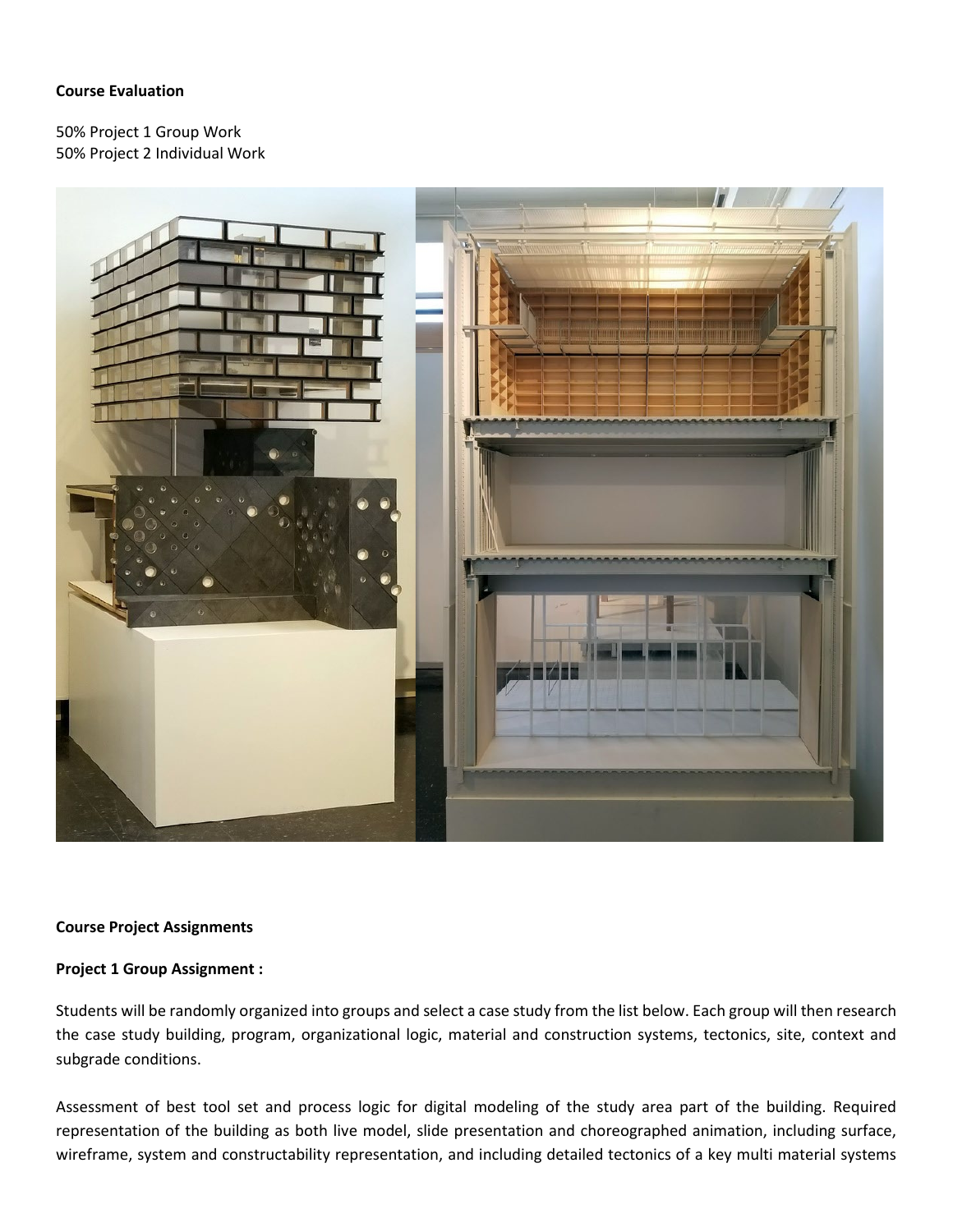## **Course Evaluation**

50% Project 1 Group Work 50% Project 2 Individual Work



### **Course Project Assignments**

### **Project 1 Group Assignment :**

Students will be randomly organized into groups and select a case study from the list below. Each group will then research the case study building, program, organizational logic, material and construction systems, tectonics, site, context and subgrade conditions.

Assessment of best tool set and process logic for digital modeling of the study area part of the building. Required representation of the building as both live model, slide presentation and choreographed animation, including surface, wireframe, system and constructability representation, and including detailed tectonics of a key multi material systems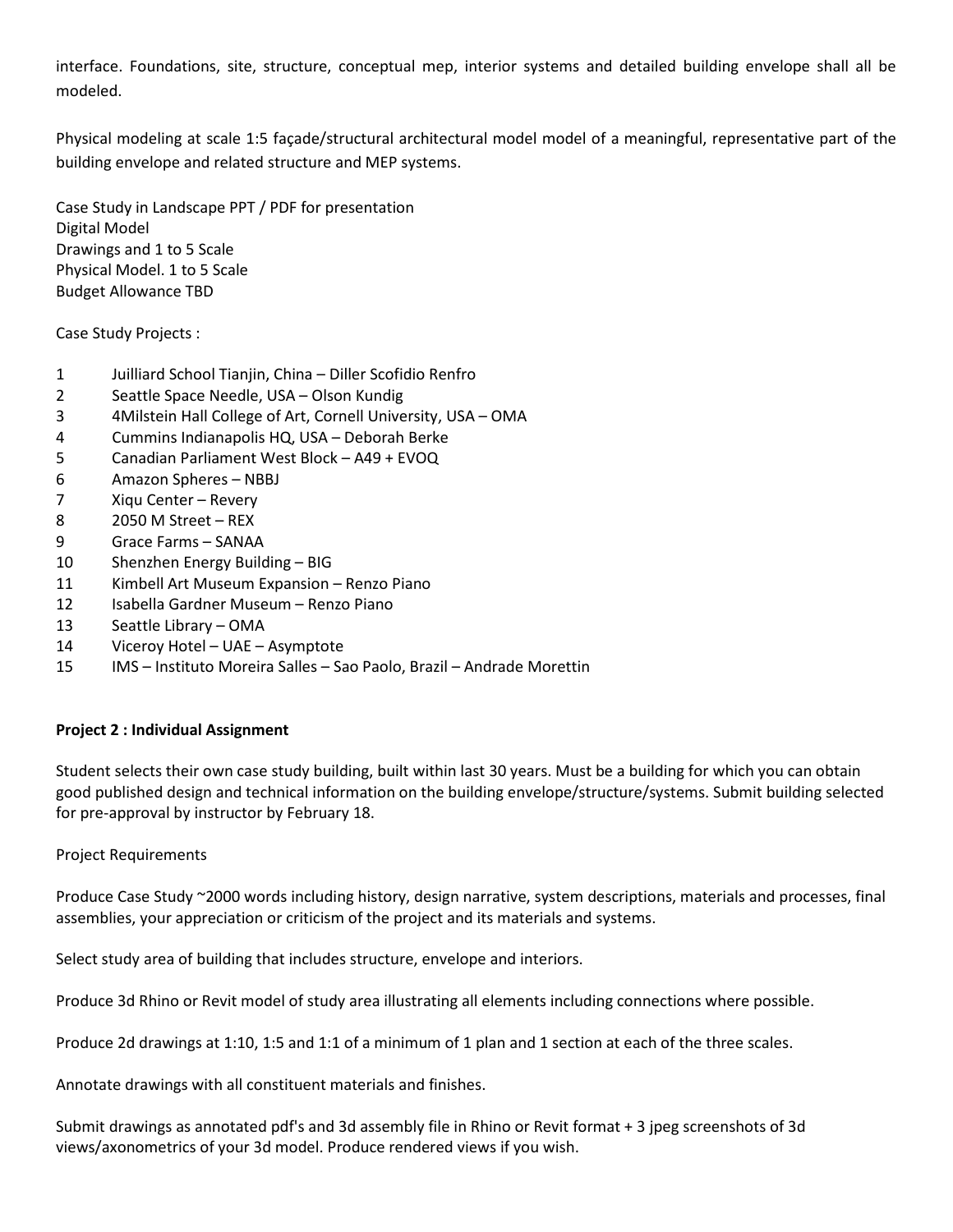interface. Foundations, site, structure, conceptual mep, interior systems and detailed building envelope shall all be modeled.

Physical modeling at scale 1:5 façade/structural architectural model model of a meaningful, representative part of the building envelope and related structure and MEP systems.

Case Study in Landscape PPT / PDF for presentation Digital Model Drawings and 1 to 5 Scale Physical Model. 1 to 5 Scale Budget Allowance TBD

Case Study Projects :

- 1 Juilliard School Tianjin, China Diller Scofidio Renfro
- 2 Seattle Space Needle, USA Olson Kundig
- 3 4Milstein Hall College of Art, Cornell University, USA OMA
- 4 Cummins Indianapolis HQ, USA Deborah Berke
- 5 Canadian Parliament West Block A49 + EVOQ
- 6 Amazon Spheres NBBJ
- 7 Xiqu Center Revery
- 8 2050 M Street REX
- 9 Grace Farms SANAA
- 10 Shenzhen Energy Building BIG
- 11 Kimbell Art Museum Expansion Renzo Piano
- 12 Isabella Gardner Museum Renzo Piano
- 13 Seattle Library OMA
- 14 Viceroy Hotel UAE Asymptote
- 15 IMS Instituto Moreira Salles Sao Paolo, Brazil Andrade Morettin

### **Project 2 : Individual Assignment**

Student selects their own case study building, built within last 30 years. Must be a building for which you can obtain good published design and technical information on the building envelope/structure/systems. Submit building selected for pre-approval by instructor by February 18.

Project Requirements

Produce Case Study ~2000 words including history, design narrative, system descriptions, materials and processes, final assemblies, your appreciation or criticism of the project and its materials and systems.

Select study area of building that includes structure, envelope and interiors.

Produce 3d Rhino or Revit model of study area illustrating all elements including connections where possible.

Produce 2d drawings at 1:10, 1:5 and 1:1 of a minimum of 1 plan and 1 section at each of the three scales.

Annotate drawings with all constituent materials and finishes.

Submit drawings as annotated pdf's and 3d assembly file in Rhino or Revit format + 3 jpeg screenshots of 3d views/axonometrics of your 3d model. Produce rendered views if you wish.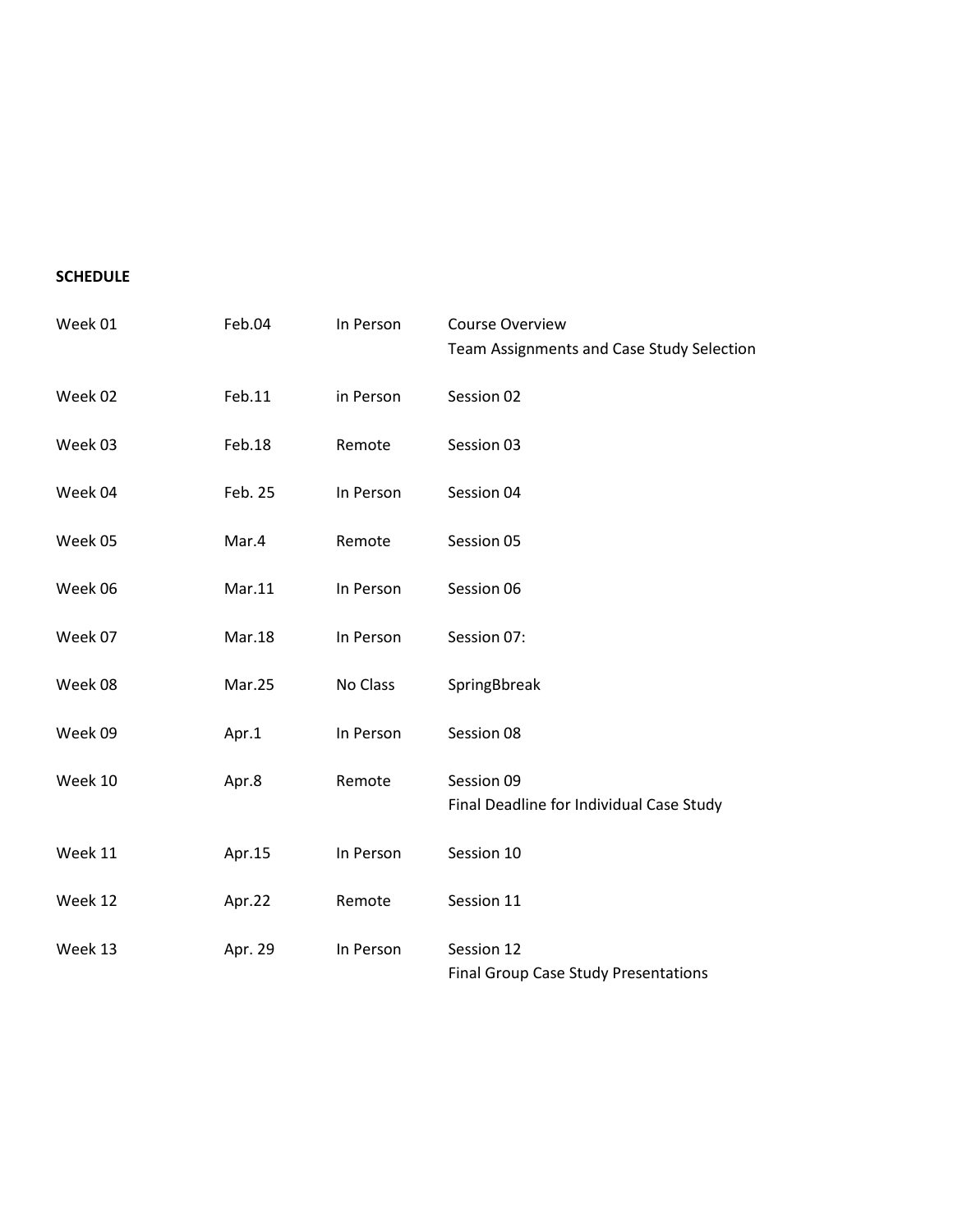### **SCHEDULE**

| Week 01 | Feb.04  | In Person | <b>Course Overview</b><br>Team Assignments and Case Study Selection |
|---------|---------|-----------|---------------------------------------------------------------------|
| Week 02 | Feb.11  | in Person | Session 02                                                          |
| Week 03 | Feb.18  | Remote    | Session 03                                                          |
| Week 04 | Feb. 25 | In Person | Session 04                                                          |
| Week 05 | Mar.4   | Remote    | Session 05                                                          |
| Week 06 | Mar.11  | In Person | Session 06                                                          |
| Week 07 | Mar.18  | In Person | Session 07:                                                         |
| Week 08 | Mar.25  | No Class  | SpringBbreak                                                        |
| Week 09 | Apr.1   | In Person | Session 08                                                          |
| Week 10 | Apr.8   | Remote    | Session 09<br>Final Deadline for Individual Case Study              |
| Week 11 | Apr.15  | In Person | Session 10                                                          |
| Week 12 | Apr.22  | Remote    | Session 11                                                          |
| Week 13 | Apr. 29 | In Person | Session 12<br><b>Final Group Case Study Presentations</b>           |